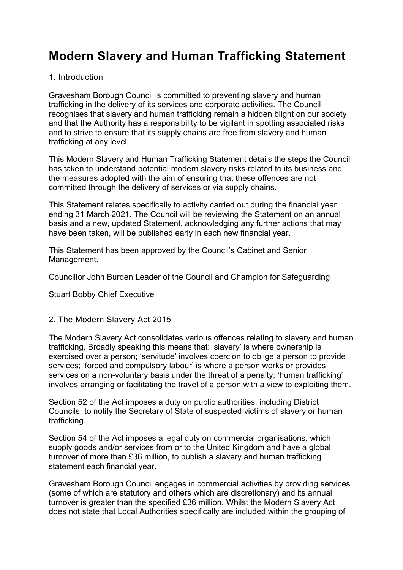# **Modern Slavery and Human Trafficking Statement**

## 1. Introduction

Gravesham Borough Council is committed to preventing slavery and human trafficking in the delivery of its services and corporate activities. The Council recognises that slavery and human trafficking remain a hidden blight on our society and that the Authority has a responsibility to be vigilant in spotting associated risks and to strive to ensure that its supply chains are free from slavery and human trafficking at any level.

This Modern Slavery and Human Trafficking Statement details the steps the Council has taken to understand potential modern slavery risks related to its business and the measures adopted with the aim of ensuring that these offences are not committed through the delivery of services or via supply chains.

This Statement relates specifically to activity carried out during the financial year ending 31 March 2021. The Council will be reviewing the Statement on an annual basis and a new, updated Statement, acknowledging any further actions that may have been taken, will be published early in each new financial year.

This Statement has been approved by the Council's Cabinet and Senior Management.

Councillor John Burden Leader of the Council and Champion for Safeguarding

Stuart Bobby Chief Executive

## 2. The Modern Slavery Act 2015

The Modern Slavery Act consolidates various offences relating to slavery and human trafficking. Broadly speaking this means that: 'slavery' is where ownership is exercised over a person; 'servitude' involves coercion to oblige a person to provide services; 'forced and compulsory labour' is where a person works or provides services on a non-voluntary basis under the threat of a penalty; 'human trafficking' involves arranging or facilitating the travel of a person with a view to exploiting them.

Section 52 of the Act imposes a duty on public authorities, including District Councils, to notify the Secretary of State of suspected victims of slavery or human trafficking.

Section 54 of the Act imposes a legal duty on commercial organisations, which supply goods and/or services from or to the United Kingdom and have a global turnover of more than £36 million, to publish a slavery and human trafficking statement each financial year.

Gravesham Borough Council engages in commercial activities by providing services (some of which are statutory and others which are discretionary) and its annual turnover is greater than the specified £36 million. Whilst the Modern Slavery Act does not state that Local Authorities specifically are included within the grouping of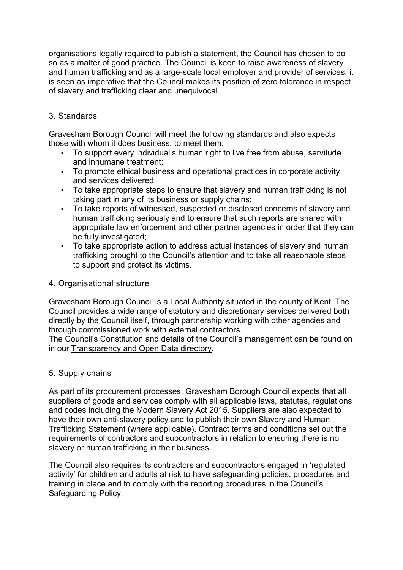organisations legally required to publish a statement, the Council has chosen to do so as a matter of good practice. The Council is keen to raise awareness of slavery and human trafficking and as a large-scale local employer and provider of services, it is seen as imperative that the Council makes its position of zero tolerance in respect of slavery and trafficking clear and unequivocal.

# 3. Standards

Gravesham Borough Council will meet the following standards and also expects those with whom it does business, to meet them:

- To support every individual's human right to live free from abuse, servitude and inhumane treatment;
- To promote ethical business and operational practices in corporate activity and services delivered;
- To take appropriate steps to ensure that slavery and human trafficking is not taking part in any of its business or supply chains;
- To take reports of witnessed, suspected or disclosed concerns of slavery and human trafficking seriously and to ensure that such reports are shared with appropriate law enforcement and other partner agencies in order that they can be fully investigated;
- To take appropriate action to address actual instances of slavery and human trafficking brought to the Council's attention and to take all reasonable steps to support and protect its victims.

## 4. Organisational structure

Gravesham Borough Council is a Local Authority situated in the county of Kent. The Council provides a wide range of statutory and discretionary services delivered both directly by the Council itself, through partnership working with other agencies and through commissioned work with external contractors.

The Council's Constitution and details of the Council's management can be found on in our [Transparency and Open Data directory.](https://pre.gravesham.gov.uk/directory/6/policies-strategies-and-open-data-test-/category/4)

# 5. Supply chains

As part of its procurement processes, Gravesham Borough Council expects that all suppliers of goods and services comply with all applicable laws, statutes, regulations and codes including the Modern Slavery Act 2015. Suppliers are also expected to have their own anti-slavery policy and to publish their own Slavery and Human Trafficking Statement (where applicable). Contract terms and conditions set out the requirements of contractors and subcontractors in relation to ensuring there is no slavery or human trafficking in their business.

The Council also requires its contractors and subcontractors engaged in 'regulated activity' for children and adults at risk to have safeguarding policies, procedures and training in place and to comply with the reporting procedures in the Council's Safeguarding Policy.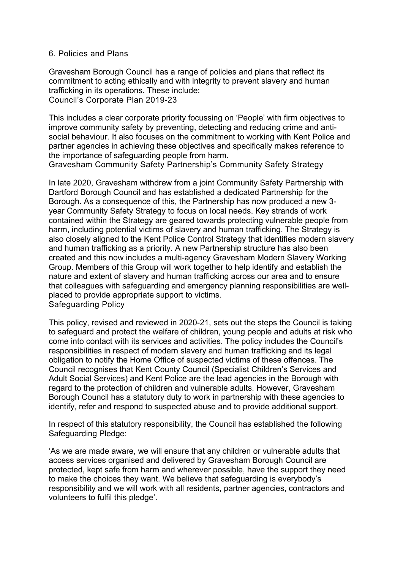#### 6. Policies and Plans

Gravesham Borough Council has a range of policies and plans that reflect its commitment to acting ethically and with integrity to prevent slavery and human trafficking in its operations. These include: Council's Corporate Plan 2019-23

This includes a clear corporate priority focussing on 'People' with firm objectives to improve community safety by preventing, detecting and reducing crime and antisocial behaviour. It also focuses on the commitment to working with Kent Police and partner agencies in achieving these objectives and specifically makes reference to the importance of safeguarding people from harm.

Gravesham Community Safety Partnership's Community Safety Strategy

In late 2020, Gravesham withdrew from a joint Community Safety Partnership with Dartford Borough Council and has established a dedicated Partnership for the Borough. As a consequence of this, the Partnership has now produced a new 3 year Community Safety Strategy to focus on local needs. Key strands of work contained within the Strategy are geared towards protecting vulnerable people from harm, including potential victims of slavery and human trafficking. The Strategy is also closely aligned to the Kent Police Control Strategy that identifies modern slavery and human trafficking as a priority. A new Partnership structure has also been created and this now includes a multi-agency Gravesham Modern Slavery Working Group. Members of this Group will work together to help identify and establish the nature and extent of slavery and human trafficking across our area and to ensure that colleagues with safeguarding and emergency planning responsibilities are wellplaced to provide appropriate support to victims. Safeguarding Policy

This policy, revised and reviewed in 2020-21, sets out the steps the Council is taking to safeguard and protect the welfare of children, young people and adults at risk who come into contact with its services and activities. The policy includes the Council's responsibilities in respect of modern slavery and human trafficking and its legal obligation to notify the Home Office of suspected victims of these offences. The Council recognises that Kent County Council (Specialist Children's Services and Adult Social Services) and Kent Police are the lead agencies in the Borough with regard to the protection of children and vulnerable adults. However, Gravesham Borough Council has a statutory duty to work in partnership with these agencies to identify, refer and respond to suspected abuse and to provide additional support.

In respect of this statutory responsibility, the Council has established the following Safeguarding Pledge:

'As we are made aware, we will ensure that any children or vulnerable adults that access services organised and delivered by Gravesham Borough Council are protected, kept safe from harm and wherever possible, have the support they need to make the choices they want. We believe that safeguarding is everybody's responsibility and we will work with all residents, partner agencies, contractors and volunteers to fulfil this pledge'.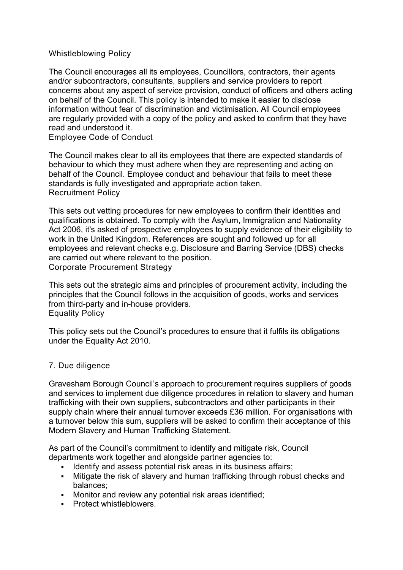## Whistleblowing Policy

The Council encourages all its employees, Councillors, contractors, their agents and/or subcontractors, consultants, suppliers and service providers to report concerns about any aspect of service provision, conduct of officers and others acting on behalf of the Council. This policy is intended to make it easier to disclose information without fear of discrimination and victimisation. All Council employees are regularly provided with a copy of the policy and asked to confirm that they have read and understood it.

Employee Code of Conduct

The Council makes clear to all its employees that there are expected standards of behaviour to which they must adhere when they are representing and acting on behalf of the Council. Employee conduct and behaviour that fails to meet these standards is fully investigated and appropriate action taken. Recruitment Policy

This sets out vetting procedures for new employees to confirm their identities and qualifications is obtained. To comply with the Asylum, Immigration and Nationality Act 2006, it's asked of prospective employees to supply evidence of their eligibility to work in the United Kingdom. References are sought and followed up for all employees and relevant checks e.g. Disclosure and Barring Service (DBS) checks are carried out where relevant to the position. Corporate Procurement Strategy

This sets out the strategic aims and principles of procurement activity, including the principles that the Council follows in the acquisition of goods, works and services from third-party and in-house providers. Equality Policy

This policy sets out the Council's procedures to ensure that it fulfils its obligations under the Equality Act 2010.

## 7. Due diligence

Gravesham Borough Council's approach to procurement requires suppliers of goods and services to implement due diligence procedures in relation to slavery and human trafficking with their own suppliers, subcontractors and other participants in their supply chain where their annual turnover exceeds £36 million. For organisations with a turnover below this sum, suppliers will be asked to confirm their acceptance of this Modern Slavery and Human Trafficking Statement.

As part of the Council's commitment to identify and mitigate risk, Council departments work together and alongside partner agencies to:

- Identify and assess potential risk areas in its business affairs;
- Mitigate the risk of slavery and human trafficking through robust checks and balances;
- **Monitor and review any potential risk areas identified;**
- **Protect whistleblowers.**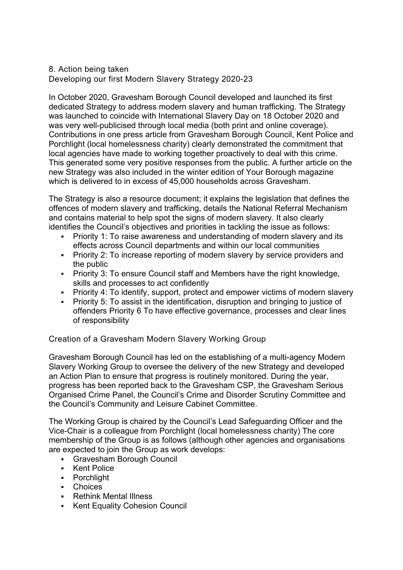#### 8. Action being taken Developing our first Modern Slavery Strategy 2020-23

In October 2020, Gravesham Borough Council developed and launched its first dedicated Strategy to address modern slavery and human trafficking. The Strategy was launched to coincide with International Slavery Day on 18 October 2020 and was very well-publicised through local media (both print and online coverage). Contributions in one press article from Gravesham Borough Council, Kent Police and Porchlight (local homelessness charity) clearly demonstrated the commitment that local agencies have made to working together proactively to deal with this crime. This generated some very positive responses from the public. A further article on the new Strategy was also included in the winter edition of Your Borough magazine which is delivered to in excess of 45,000 households across Gravesham.

The Strategy is also a resource document; it explains the legislation that defines the offences of modern slavery and trafficking, details the National Referral Mechanism and contains material to help spot the signs of modern slavery. It also clearly identifies the Council's objectives and priorities in tackling the issue as follows:

- Priority 1: To raise awareness and understanding of modern slavery and its effects across Council departments and within our local communities
- **Priority 2: To increase reporting of modern slavery by service providers and** the public
- Priority 3: To ensure Council staff and Members have the right knowledge, skills and processes to act confidently
- Priority 4: To identify, support, protect and empower victims of modern slavery
- Priority 5: To assist in the identification, disruption and bringing to justice of offenders Priority 6 To have effective governance, processes and clear lines of responsibility

Creation of a Gravesham Modern Slavery Working Group

Gravesham Borough Council has led on the establishing of a multi-agency Modern Slavery Working Group to oversee the delivery of the new Strategy and developed an Action Plan to ensure that progress is routinely monitored. During the year, progress has been reported back to the Gravesham CSP, the Gravesham Serious Organised Crime Panel, the Council's Crime and Disorder Scrutiny Committee and the Council's Community and Leisure Cabinet Committee.

The Working Group is chaired by the Council's Lead Safeguarding Officer and the Vice-Chair is a colleague from Porchlight (local homelessness charity) The core membership of the Group is as follows (although other agencies and organisations are expected to join the Group as work develops:

- Gravesham Borough Council
- Kent Police
- **•** Porchlight
- Choices
- **Rethink Mental Illness**
- Kent Equality Cohesion Council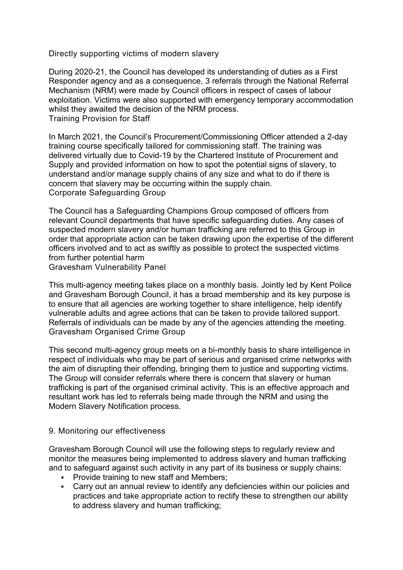Directly supporting victims of modern slavery

During 2020-21, the Council has developed its understanding of duties as a First Responder agency and as a consequence, 3 referrals through the National Referral Mechanism (NRM) were made by Council officers in respect of cases of labour exploitation. Victims were also supported with emergency temporary accommodation whilst they awaited the decision of the NRM process. Training Provision for Staff

In March 2021, the Council's Procurement/Commissioning Officer attended a 2-day training course specifically tailored for commissioning staff. The training was delivered virtually due to Covid-19 by the Chartered Institute of Procurement and Supply and provided information on how to spot the potential signs of slavery, to understand and/or manage supply chains of any size and what to do if there is concern that slavery may be occurring within the supply chain. Corporate Safeguarding Group

The Council has a Safeguarding Champions Group composed of officers from relevant Council departments that have specific safeguarding duties. Any cases of suspected modern slavery and/or human trafficking are referred to this Group in order that appropriate action can be taken drawing upon the expertise of the different officers involved and to act as swiftly as possible to protect the suspected victims from further potential harm

Gravesham Vulnerability Panel

This multi-agency meeting takes place on a monthly basis. Jointly led by Kent Police and Gravesham Borough Council, it has a broad membership and its key purpose is to ensure that all agencies are working together to share intelligence, help identify vulnerable adults and agree actions that can be taken to provide tailored support. Referrals of individuals can be made by any of the agencies attending the meeting. Gravesham Organised Crime Group

This second multi-agency group meets on a bi-monthly basis to share intelligence in respect of individuals who may be part of serious and organised crime networks with the aim of disrupting their offending, bringing them to justice and supporting victims. The Group will consider referrals where there is concern that slavery or human trafficking is part of the organised criminal activity. This is an effective approach and resultant work has led to referrals being made through the NRM and using the Modern Slavery Notification process.

## 9. Monitoring our effectiveness

Gravesham Borough Council will use the following steps to regularly review and monitor the measures being implemented to address slavery and human trafficking and to safeguard against such activity in any part of its business or supply chains:

- Provide training to new staff and Members;
- Carry out an annual review to identify any deficiencies within our policies and practices and take appropriate action to rectify these to strengthen our ability to address slavery and human trafficking;